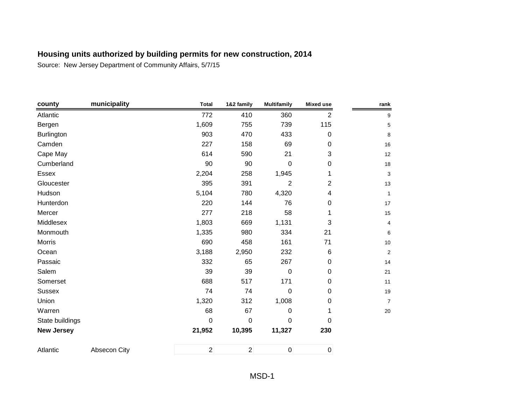| county            | municipality | <b>Total</b>   | 1&2 family     | <b>Multifamily</b> | <b>Mixed use</b> | rank           |
|-------------------|--------------|----------------|----------------|--------------------|------------------|----------------|
| Atlantic          |              | 772            | 410            | 360                | $\overline{2}$   | 9              |
| Bergen            |              | 1,609          | 755            | 739                | 115              | 5              |
| Burlington        |              | 903            | 470            | 433                | $\boldsymbol{0}$ | 8              |
| Camden            |              | 227            | 158            | 69                 | $\mathbf 0$      | 16             |
| Cape May          |              | 614            | 590            | 21                 | 3                | 12             |
| Cumberland        |              | 90             | 90             | 0                  | 0                | 18             |
| Essex             |              | 2,204          | 258            | 1,945              | 1                | 3              |
| Gloucester        |              | 395            | 391            | $\overline{2}$     | $\overline{2}$   | 13             |
| Hudson            |              | 5,104          | 780            | 4,320              | 4                | $\mathbf{1}$   |
| Hunterdon         |              | 220            | 144            | 76                 | $\mathbf 0$      | 17             |
| Mercer            |              | 277            | 218            | 58                 | 1                | 15             |
| Middlesex         |              | 1,803          | 669            | 1,131              | 3                | 4              |
| Monmouth          |              | 1,335          | 980            | 334                | 21               | 6              |
| Morris            |              | 690            | 458            | 161                | 71               | $10\,$         |
| Ocean             |              | 3,188          | 2,950          | 232                | 6                | $\overline{2}$ |
| Passaic           |              | 332            | 65             | 267                | $\mathbf 0$      | 14             |
| Salem             |              | 39             | 39             | $\pmb{0}$          | $\mathbf 0$      | 21             |
| Somerset          |              | 688            | 517            | 171                | $\mathbf 0$      | 11             |
| <b>Sussex</b>     |              | 74             | 74             | $\pmb{0}$          | $\boldsymbol{0}$ | 19             |
| Union             |              | 1,320          | 312            | 1,008              | 0                | $\overline{7}$ |
| Warren            |              | 68             | 67             | 0                  | 1                | 20             |
| State buildings   |              | 0              | $\mathbf 0$    | 0                  | 0                |                |
| <b>New Jersey</b> |              | 21,952         | 10,395         | 11,327             | 230              |                |
| Atlantic          | Absecon City | $\overline{2}$ | $\overline{2}$ | $\pmb{0}$          | $\mathbf 0$      |                |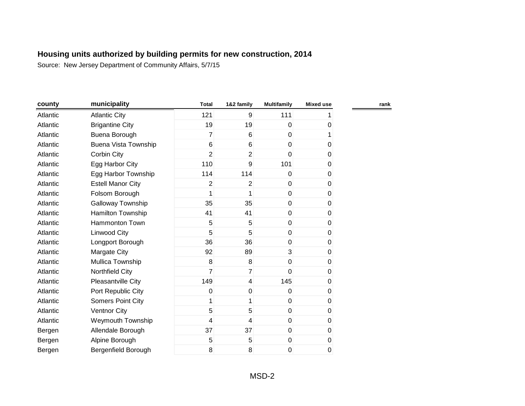| county   | municipality             | <b>Total</b>   | 1&2 family      | <b>Multifamily</b> | <b>Mixed use</b> |
|----------|--------------------------|----------------|-----------------|--------------------|------------------|
| Atlantic | <b>Atlantic City</b>     | 121            | 9               | 111                |                  |
| Atlantic | <b>Brigantine City</b>   | 19             | 19              | $\mathbf 0$        | 0                |
| Atlantic | Buena Borough            | $\overline{7}$ | $6\overline{6}$ | $\mathbf 0$        |                  |
| Atlantic | Buena Vista Township     | $6\phantom{1}$ | $6\phantom{1}$  | $\mathbf 0$        | 0                |
| Atlantic | Corbin City              | $\overline{2}$ | $\overline{2}$  | 0                  | 0                |
| Atlantic | Egg Harbor City          | 110            | 9               | 101                | 0                |
| Atlantic | Egg Harbor Township      | 114            | 114             | $\Omega$           | 0                |
| Atlantic | <b>Estell Manor City</b> | 2              | 2               | 0                  | 0                |
| Atlantic | Folsom Borough           | 1              | 1               | 0                  | 0                |
| Atlantic | Galloway Township        | 35             | 35              | $\mathbf 0$        | 0                |
| Atlantic | Hamilton Township        | 41             | 41              | $\mathbf 0$        | 0                |
| Atlantic | Hammonton Town           | 5              | 5               | $\mathbf 0$        | 0                |
| Atlantic | <b>Linwood City</b>      | 5              | 5               | $\mathbf 0$        | 0                |
| Atlantic | Longport Borough         | 36             | 36              | $\mathbf 0$        | 0                |
| Atlantic | Margate City             | 92             | 89              | 3                  | 0                |
| Atlantic | Mullica Township         | 8              | 8               | 0                  | 0                |
| Atlantic | Northfield City          | $\overline{7}$ | $\overline{7}$  | $\mathbf 0$        | 0                |
| Atlantic | Pleasantville City       | 149            | $\overline{4}$  | 145                | 0                |
| Atlantic | Port Republic City       | 0              | $\pmb{0}$       | 0                  | 0                |
| Atlantic | <b>Somers Point City</b> | 1              | 1               | 0                  | 0                |
| Atlantic | <b>Ventnor City</b>      | 5              | 5               | $\mathbf 0$        | 0                |
| Atlantic | Weymouth Township        | 4              | $\overline{4}$  | $\mathbf 0$        | 0                |
| Bergen   | Allendale Borough        | 37             | 37              | $\mathbf 0$        | 0                |
| Bergen   | Alpine Borough           | 5              | 5               | $\mathbf 0$        | 0                |
| Bergen   | Bergenfield Borough      | 8              | 8               | 0                  | 0                |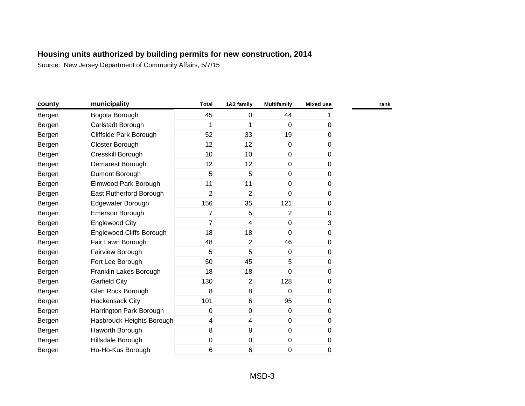| county | municipality                    | <b>Total</b>   | 1&2 family       | <b>Multifamily</b> | <b>Mixed use</b> |  |
|--------|---------------------------------|----------------|------------------|--------------------|------------------|--|
| Bergen | Bogota Borough                  | 45             | 0                | 44                 |                  |  |
| Bergen | Carlstadt Borough               | 1              | 1                | $\mathbf{0}$       | 0                |  |
| Bergen | Cliffside Park Borough          | 52             | 33               | 19                 | 0                |  |
| Bergen | Closter Borough                 | 12             | 12               | $\mathbf 0$        | 0                |  |
| Bergen | Cresskill Borough               | 10             | 10 <sup>1</sup>  | $\overline{0}$     | $\pmb{0}$        |  |
| Bergen | Demarest Borough                | 12             | 12               | $\overline{0}$     | 0                |  |
| Bergen | Dumont Borough                  | 5              | 5                | $\overline{0}$     | 0                |  |
| Bergen | Elmwood Park Borough            | 11             | 11               | 0                  | 0                |  |
| Bergen | East Rutherford Borough         | $\overline{2}$ | $\overline{2}$   | 0                  | 0                |  |
| Bergen | Edgewater Borough               | 156            | 35               | 121                | 0                |  |
| Bergen | Emerson Borough                 | 7              | 5                | $\overline{2}$     | 0                |  |
| Bergen | <b>Englewood City</b>           | $\overline{7}$ | 4                | $\mathbf 0$        | $\mathbf{3}$     |  |
| Bergen | <b>Englewood Cliffs Borough</b> | 18             | 18               | $\Omega$           | 0                |  |
| Bergen | Fair Lawn Borough               | 48             | $\overline{2}$   | 46                 | 0                |  |
| Bergen | Fairview Borough                | 5              | 5                | $\Omega$           | 0                |  |
| Bergen | Fort Lee Borough                | 50             | 45               | 5                  | 0                |  |
| Bergen | Franklin Lakes Borough          | 18             | 18               | $\mathbf 0$        | 0                |  |
| Bergen | <b>Garfield City</b>            | 130            | $\overline{2}$   | 128                | 0                |  |
| Bergen | Glen Rock Borough               | 8              | 8                | $\Omega$           | 0                |  |
| Bergen | Hackensack City                 | 101            | $\,6$            | 95                 | 0                |  |
| Bergen | Harrington Park Borough         | 0              | $\mathbf 0$      | $\mathbf 0$        | 0                |  |
| Bergen | Hasbrouck Heights Borough       | 4              | 4                | $\overline{0}$     | 0                |  |
| Bergen | Haworth Borough                 | 8              | $\bf{8}$         | $\mathbf 0$        | $\pmb{0}$        |  |
| Bergen | Hillsdale Borough               | $\mathbf 0$    | $\boldsymbol{0}$ | $\pmb{0}$          | 0                |  |
| Bergen | Ho-Ho-Kus Borough               | 6              | 6                | 0                  | 0                |  |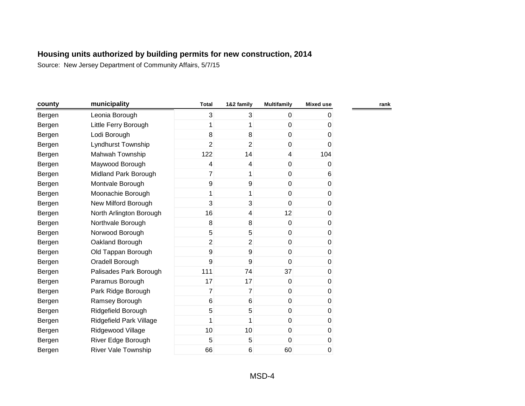| county | municipality               | <b>Total</b>   | 1&2 family              | <b>Multifamily</b> | <b>Mixed use</b> |  |
|--------|----------------------------|----------------|-------------------------|--------------------|------------------|--|
| Bergen | Leonia Borough             | 3              | 3 <sup>1</sup>          | $\mathbf 0$        | 0                |  |
| Bergen | Little Ferry Borough       | 1              | 1                       | $\mathbf 0$        | 0                |  |
| Bergen | Lodi Borough               | 8              | 8                       | $\mathbf 0$        | 0                |  |
| Bergen | Lyndhurst Township         | $\overline{2}$ | $\overline{2}$          | $\mathbf 0$        | 0                |  |
| Bergen | Mahwah Township            | 122            | 14                      | $\overline{4}$     | 104              |  |
| Bergen | Maywood Borough            | 4              | $\overline{\mathbf{4}}$ | $\pmb{0}$          | 0                |  |
| Bergen | Midland Park Borough       | $\overline{7}$ | $\mathbf{1}$            | $\boldsymbol{0}$   | 6                |  |
| Bergen | Montvale Borough           | 9              | 9                       | $\pmb{0}$          | $\mathbf 0$      |  |
| Bergen | Moonachie Borough          | 1              | $\mathbf{1}$            | $\pmb{0}$          | 0                |  |
| Bergen | New Milford Borough        | 3              | 3                       | $\mathbf 0$        | 0                |  |
| Bergen | North Arlington Borough    | 16             | 4                       | 12                 | 0                |  |
| Bergen | Northvale Borough          | 8              | 8                       | $\mathbf 0$        | 0                |  |
| Bergen | Norwood Borough            | 5              | 5 <sup>5</sup>          | $\mathbf 0$        | 0                |  |
| Bergen | Oakland Borough            | $\overline{2}$ | $\overline{2}$          | $\pmb{0}$          | 0                |  |
| Bergen | Old Tappan Borough         | 9              | 9                       | $\mathbf 0$        | 0                |  |
| Bergen | Oradell Borough            | 9              | 9                       | $\overline{0}$     | 0                |  |
| Bergen | Palisades Park Borough     | 111            | 74                      | 37                 | $\overline{0}$   |  |
| Bergen | Paramus Borough            | 17             | 17                      | $\mathbf 0$        | 0                |  |
| Bergen | Park Ridge Borough         | 7              | $\overline{7}$          | $\mathbf 0$        | 0                |  |
| Bergen | Ramsey Borough             | $6\phantom{1}$ | $6 \,$                  | $\mathbf 0$        | 0                |  |
| Bergen | Ridgefield Borough         | 5              | 5                       | $\mathbf 0$        | 0                |  |
| Bergen | Ridgefield Park Village    | 1              | 1                       | $\mathbf 0$        | 0                |  |
| Bergen | Ridgewood Village          | 10             | 10 <sup>1</sup>         | $\mathbf 0$        | 0                |  |
| Bergen | River Edge Borough         | 5              | 5 <sup>1</sup>          | $\mathbf 0$        | 0                |  |
| Bergen | <b>River Vale Township</b> | 66             | 6                       | 60                 | 0                |  |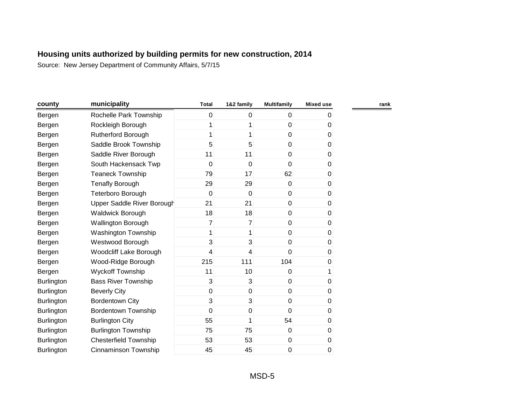| county            | municipality                  | <b>Total</b> | 1&2 family       | <b>Multifamily</b> | <b>Mixed use</b> |
|-------------------|-------------------------------|--------------|------------------|--------------------|------------------|
| Bergen            | Rochelle Park Township        | 0            | 0                | 0                  | 0                |
| Bergen            | Rockleigh Borough             | 1            | 1                | 0                  | 0                |
| Bergen            | Rutherford Borough            | 1            | 1                | 0                  | $\pmb{0}$        |
| Bergen            | Saddle Brook Township         | 5            | 5                | 0                  | 0                |
| Bergen            | Saddle River Borough          | 11           | 11               | 0                  | 0                |
| Bergen            | South Hackensack Twp          | 0            | 0                | 0                  | 0                |
| Bergen            | <b>Teaneck Township</b>       | 79           | 17               | 62                 | 0                |
| Bergen            | Tenafly Borough               | 29           | 29               | 0                  | 0                |
| Bergen            | Teterboro Borough             | 0            | $\mathbf 0$      | 0                  | 0                |
| Bergen            | Upper Saddle River Borough    | 21           | 21               | 0                  | 0                |
| Bergen            | Waldwick Borough              | 18           | 18               | 0                  | 0                |
| Bergen            | Wallington Borough            | 7            | $\overline{7}$   | 0                  | $\pmb{0}$        |
| Bergen            | <b>Washington Township</b>    | 1            | 1                | 0                  | 0                |
| Bergen            | Westwood Borough              | 3            | 3                | 0                  | 0                |
| Bergen            | <b>Woodcliff Lake Borough</b> | 4            | 4                | 0                  | 0                |
| Bergen            | Wood-Ridge Borough            | 215          | 111              | 104                | 0                |
| Bergen            | <b>Wyckoff Township</b>       | 11           | 10               | 0                  | 1                |
| <b>Burlington</b> | <b>Bass River Township</b>    | 3            | 3                | 0                  | 0                |
| <b>Burlington</b> | <b>Beverly City</b>           | 0            | $\boldsymbol{0}$ | 0                  | 0                |
| Burlington        | <b>Bordentown City</b>        | 3            | 3                | 0                  | 0                |
| Burlington        | <b>Bordentown Township</b>    | 0            | $\boldsymbol{0}$ | 0                  | 0                |
| Burlington        | <b>Burlington City</b>        | 55           | 1                | 54                 | 0                |
| Burlington        | <b>Burlington Township</b>    | 75           | 75               | 0                  | 0                |
| <b>Burlington</b> | <b>Chesterfield Township</b>  | 53           | 53               | 0                  | 0                |
| Burlington        | Cinnaminson Township          | 45           | 45               | 0                  | 0                |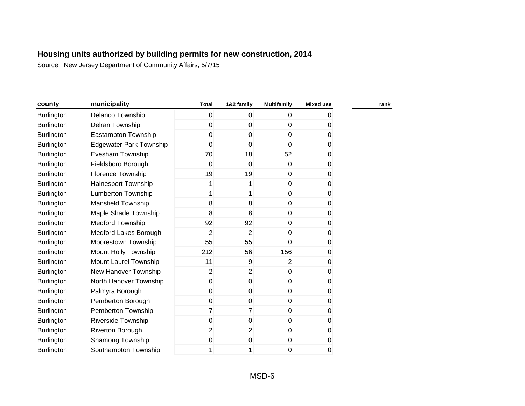| county            | municipality                   | <b>Total</b>   | 1&2 family     | <b>Multifamily</b> | <b>Mixed use</b> | rank |
|-------------------|--------------------------------|----------------|----------------|--------------------|------------------|------|
| <b>Burlington</b> | Delanco Township               | $\pmb{0}$      | 0              | 0                  | O                |      |
| Burlington        | Delran Township                | 0              | 0              | 0                  | 0                |      |
| Burlington        | Eastampton Township            | 0              | 0              | $\mathbf 0$        | 0                |      |
| Burlington        | <b>Edgewater Park Township</b> | 0              | $\mathbf 0$    | $\Omega$           | 0                |      |
| <b>Burlington</b> | Evesham Township               | 70             | 18             | 52                 | 0                |      |
| <b>Burlington</b> | Fieldsboro Borough             | 0              | 0              | $\mathbf 0$        | $\pmb{0}$        |      |
| <b>Burlington</b> | Florence Township              | 19             | 19             | 0                  | 0                |      |
| <b>Burlington</b> | Hainesport Township            | 1              | 1              | 0                  | 0                |      |
| Burlington        | <b>Lumberton Township</b>      | 1              | 1              | 0                  | 0                |      |
| <b>Burlington</b> | <b>Mansfield Township</b>      | 8              | 8              | $\mathbf 0$        | 0                |      |
| <b>Burlington</b> | Maple Shade Township           | 8              | 8              | 0                  | 0                |      |
| <b>Burlington</b> | <b>Medford Township</b>        | 92             | 92             | 0                  | 0                |      |
| <b>Burlington</b> | Medford Lakes Borough          | $\overline{2}$ | $\overline{2}$ | $\Omega$           | 0                |      |
| Burlington        | Moorestown Township            | 55             | 55             | 0                  | 0                |      |
| Burlington        | Mount Holly Township           | 212            | 56             | 156                | 0                |      |
| Burlington        | Mount Laurel Township          | 11             | 9              | $\overline{2}$     | 0                |      |
| <b>Burlington</b> | New Hanover Township           | $\overline{c}$ | $\overline{2}$ | $\pmb{0}$          | 0                |      |
| Burlington        | North Hanover Township         | 0              | $\mathbf 0$    | 0                  | 0                |      |
| <b>Burlington</b> | Palmyra Borough                | $\pmb{0}$      | 0              | $\pmb{0}$          | 0                |      |
| <b>Burlington</b> | Pemberton Borough              | 0              | 0              | 0                  | 0                |      |
| Burlington        | Pemberton Township             | 7              | 7              | $\pmb{0}$          | 0                |      |
| Burlington        | Riverside Township             | 0              | 0              | 0                  | 0                |      |
| Burlington        | Riverton Borough               | $\overline{2}$ | $\overline{2}$ | 0                  | 0                |      |
| <b>Burlington</b> | Shamong Township               | 0              | 0              | $\pmb{0}$          | 0                |      |
| Burlington        | Southampton Township           | 1              | 1              | 0                  | 0                |      |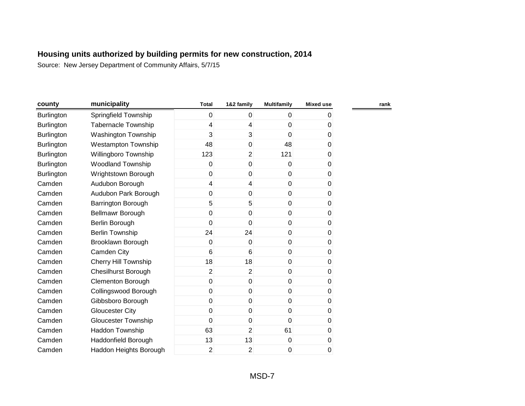| county            | municipality                | <b>Total</b> | 1&2 family              | <b>Multifamily</b> | <b>Mixed use</b> | rank |
|-------------------|-----------------------------|--------------|-------------------------|--------------------|------------------|------|
| <b>Burlington</b> | Springfield Township        | 0            | 0                       | $\mathbf 0$        | 0                |      |
| <b>Burlington</b> | <b>Tabernacle Township</b>  | 4            | 4                       | 0                  | 0                |      |
| <b>Burlington</b> | Washington Township         | 3            | $\overline{3}$          | 0                  | 0                |      |
| Burlington        | <b>Westampton Township</b>  | 48           | 0                       | 48                 | 0                |      |
| <b>Burlington</b> | Willingboro Township        | 123          | $\overline{2}$          | 121                | 0                |      |
| Burlington        | Woodland Township           | 0            | $\mathbf 0$             | $\mathbf 0$        | $\pmb{0}$        |      |
| Burlington        | Wrightstown Borough         | 0            | 0                       | 0                  | 0                |      |
| Camden            | Audubon Borough             | 4            | $\overline{\mathbf{4}}$ | $\pmb{0}$          | 0                |      |
| Camden            | Audubon Park Borough        | 0            | 0                       | 0                  | 0                |      |
| Camden            | <b>Barrington Borough</b>   | 5            | 5                       | 0                  | 0                |      |
| Camden            | Bellmawr Borough            | 0            | 0                       | 0                  | 0                |      |
| Camden            | Berlin Borough              | 0            | 0                       | 0                  | 0                |      |
| Camden            | <b>Berlin Township</b>      | 24           | 24                      | $\mathbf 0$        | 0                |      |
| Camden            | Brooklawn Borough           | 0            | $\mathbf 0$             | 0                  | 0                |      |
| Camden            | Camden City                 | 6            | $6\phantom{1}$          | 0                  | 0                |      |
| Camden            | <b>Cherry Hill Township</b> | 18           | 18                      | 0                  | 0                |      |
| Camden            | <b>Chesilhurst Borough</b>  | 2            | $\overline{2}$          | 0                  | $\pmb{0}$        |      |
| Camden            | <b>Clementon Borough</b>    | 0            | 0                       | 0                  | 0                |      |
| Camden            | Collingswood Borough        | 0            | $\mathbf 0$             | 0                  | 0                |      |
| Camden            | Gibbsboro Borough           | 0            | $\mathbf 0$             | 0                  | 0                |      |
| Camden            | <b>Gloucester City</b>      | 0            | $\mathbf 0$             | 0                  | 0                |      |
| Camden            | <b>Gloucester Township</b>  | 0            | 0                       | 0                  | 0                |      |
| Camden            | Haddon Township             | 63           | $\overline{2}$          | 61                 | 0                |      |
| Camden            | <b>Haddonfield Borough</b>  | 13           | 13                      | $\pmb{0}$          | 0                |      |
| Camden            | Haddon Heights Borough      | 2            | $\overline{2}$          | 0                  | 0                |      |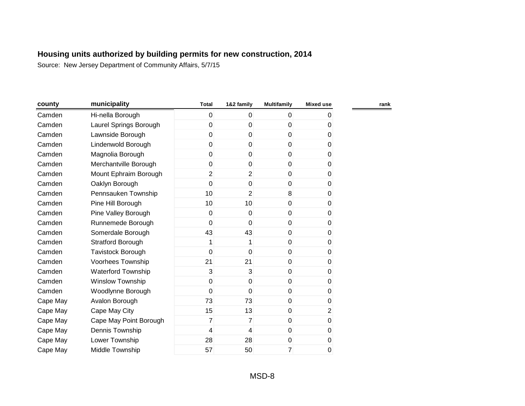| county   | municipality              | <b>Total</b>   | 1&2 family     | <b>Multifamily</b> | <b>Mixed use</b> |
|----------|---------------------------|----------------|----------------|--------------------|------------------|
| Camden   | Hi-nella Borough          | 0              | $\mathbf 0$    | 0                  | 0                |
| Camden   | Laurel Springs Borough    | 0              | $\mathbf 0$    | $\mathbf 0$        | 0                |
| Camden   | Lawnside Borough          | 0              | $\mathbf 0$    | $\mathbf 0$        | $\pmb{0}$        |
| Camden   | Lindenwold Borough        | 0              | $\mathbf 0$    | $\mathbf 0$        | 0                |
| Camden   | Magnolia Borough          | 0              | $\mathbf 0$    | $\overline{0}$     | 0                |
| Camden   | Merchantville Borough     | 0              | 0              | $\mathbf 0$        | 0                |
| Camden   | Mount Ephraim Borough     | $\overline{2}$ | $\overline{2}$ | $\mathbf 0$        | 0                |
| Camden   | Oaklyn Borough            | 0              | 0              | 0                  | 0                |
| Camden   | Pennsauken Township       | 10             | $\overline{2}$ | 8                  | 0                |
| Camden   | Pine Hill Borough         | 10             | 10             | $\mathbf 0$        | 0                |
| Camden   | Pine Valley Borough       | 0              | 0              | $\mathbf{0}$       | 0                |
| Camden   | Runnemede Borough         | 0              | $\overline{0}$ | $\mathbf 0$        | $\pmb{0}$        |
| Camden   | Somerdale Borough         | 43             | 43             | $\mathbf{0}$       | 0                |
| Camden   | <b>Stratford Borough</b>  | 1              | 1              | $\mathbf 0$        | 0                |
| Camden   | <b>Tavistock Borough</b>  | 0              | $\overline{0}$ | $\mathbf{0}$       | 0                |
| Camden   | Voorhees Township         | 21             | 21             | $\overline{0}$     | 0                |
| Camden   | <b>Waterford Township</b> | 3              | 3              | $\pmb{0}$          | 0                |
| Camden   | <b>Winslow Township</b>   | 0              | $\mathbf 0$    | $\mathbf 0$        | 0                |
| Camden   | Woodlynne Borough         | 0              | $\mathbf 0$    | $\mathbf 0$        | 0                |
| Cape May | Avalon Borough            | 73             | 73             | $\mathbf 0$        | $\pmb{0}$        |
| Cape May | Cape May City             | 15             | 13             | $\mathbf 0$        | $\overline{2}$   |
| Cape May | Cape May Point Borough    | 7              | $\overline{7}$ | $\mathbf 0$        | 0                |
| Cape May | Dennis Township           | 4              | 4              | $\mathbf 0$        | 0                |
| Cape May | Lower Township            | 28             | 28             | 0                  | 0                |
| Cape May | Middle Township           | 57             | 50             | 7                  | 0                |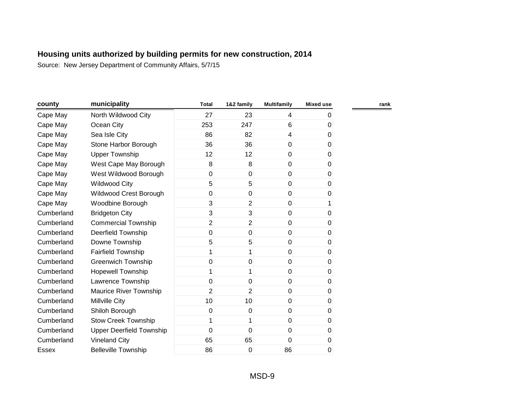| county     | municipality                    | <b>Total</b>   | 1&2 family     | <b>Multifamily</b> | <b>Mixed use</b> | rank |
|------------|---------------------------------|----------------|----------------|--------------------|------------------|------|
| Cape May   | North Wildwood City             | 27             | 23             | 4                  | 0                |      |
| Cape May   | Ocean City                      | 253            | 247            | 6                  | 0                |      |
| Cape May   | Sea Isle City                   | 86             | 82             | $\overline{4}$     | 0                |      |
| Cape May   | Stone Harbor Borough            | 36             | 36             | $\mathbf 0$        | 0                |      |
| Cape May   | <b>Upper Township</b>           | 12             | 12             | $\mathbf 0$        | 0                |      |
| Cape May   | West Cape May Borough           | 8              | 8              | $\mathbf 0$        | $\pmb{0}$        |      |
| Cape May   | West Wildwood Borough           | $\overline{0}$ | 0              | $\mathbf 0$        | 0                |      |
| Cape May   | <b>Wildwood City</b>            | 5              | 5              | $\mathbf 0$        | 0                |      |
| Cape May   | Wildwood Crest Borough          | 0              | 0              | $\mathbf 0$        | 0                |      |
| Cape May   | Woodbine Borough                | 3              | $\overline{2}$ | $\mathbf 0$        | 1                |      |
| Cumberland | <b>Bridgeton City</b>           | 3              | 3              | $\mathbf{0}$       | 0                |      |
| Cumberland | <b>Commercial Township</b>      | $\overline{2}$ | $\overline{2}$ | $\mathbf 0$        | 0                |      |
| Cumberland | <b>Deerfield Township</b>       | 0              | 0              | $\mathbf{0}$       | 0                |      |
| Cumberland | Downe Township                  | 5              | 5              | $\mathbf 0$        | 0                |      |
| Cumberland | <b>Fairfield Township</b>       | 1              | 1              | $\mathbf{0}$       | 0                |      |
| Cumberland | Greenwich Township              | 0              | $\mathbf 0$    | $\mathbf 0$        | 0                |      |
| Cumberland | <b>Hopewell Township</b>        | 1              | 1              | $\pmb{0}$          | 0                |      |
| Cumberland | Lawrence Township               | $\mathbf 0$    | 0              | $\mathbf 0$        | 0                |      |
| Cumberland | Maurice River Township          | $\overline{2}$ | $\overline{2}$ | $\mathbf 0$        | 0                |      |
| Cumberland | <b>Millville City</b>           | 10             | 10             | $\mathbf 0$        | 0                |      |
| Cumberland | Shiloh Borough                  | $\pmb{0}$      | $\pmb{0}$      | $\mathbf 0$        | 0                |      |
| Cumberland | <b>Stow Creek Township</b>      | 1              | 1              | $\mathbf 0$        | 0                |      |
| Cumberland | <b>Upper Deerfield Township</b> | 0              | $\mathbf 0$    | $\mathbf 0$        | 0                |      |
| Cumberland | <b>Vineland City</b>            | 65             | 65             | $\mathbf{0}$       | $\pmb{0}$        |      |
| Essex      | <b>Belleville Township</b>      | 86             | 0              | 86                 | $\pmb{0}$        |      |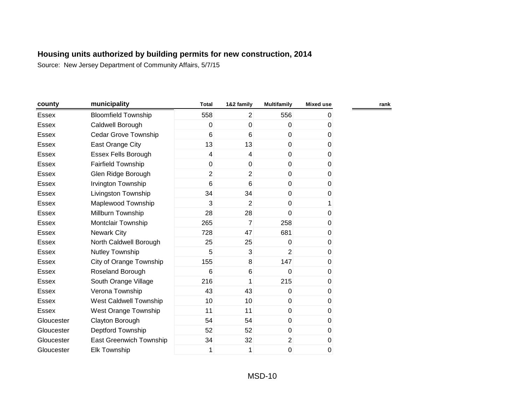| county       | municipality                | <b>Total</b>    | 1&2 family      | <b>Multifamily</b> | <b>Mixed use</b> |  |
|--------------|-----------------------------|-----------------|-----------------|--------------------|------------------|--|
| <b>Essex</b> | <b>Bloomfield Township</b>  | 558             | $\overline{2}$  | 556                | 0                |  |
| <b>Essex</b> | Caldwell Borough            | 0               | $\mathbf 0$     | $\Omega$           | $\overline{0}$   |  |
| <b>Essex</b> | Cedar Grove Township        | 6               | 6               | $\mathbf{0}$       | 0                |  |
| <b>Essex</b> | East Orange City            | 13              | 13              | $\mathbf{0}$       | 0                |  |
| <b>Essex</b> | <b>Essex Fells Borough</b>  | 4               | $\overline{4}$  | $\overline{0}$     | 0                |  |
| <b>Essex</b> | <b>Fairfield Township</b>   | $\mathbf 0$     | $\mathbf 0$     | $\overline{0}$     | 0                |  |
| Essex        | Glen Ridge Borough          | 2               | $\overline{2}$  | $\overline{0}$     | 0                |  |
| <b>Essex</b> | Irvington Township          | $6\phantom{1}6$ | $6\phantom{1}6$ | $\mathbf 0$        | 0                |  |
| Essex        | Livingston Township         | 34              | 34              | 0                  | 0                |  |
| <b>Essex</b> | Maplewood Township          | 3               | $\overline{2}$  | $\mathbf 0$        | 1                |  |
| <b>Essex</b> | Millburn Township           | 28              | 28              | $\Omega$           | $\mathbf 0$      |  |
| <b>Essex</b> | Montclair Township          | 265             | $\overline{7}$  | 258                | 0                |  |
| <b>Essex</b> | <b>Newark City</b>          | 728             | 47              | 681                | 0                |  |
| <b>Essex</b> | North Caldwell Borough      | 25              | 25              | $\Omega$           | 0                |  |
| <b>Essex</b> | Nutley Township             | 5               | 3               | $\overline{2}$     | 0                |  |
| Essex        | City of Orange Township     | 155             | 8               | 147                | 0                |  |
| Essex        | Roseland Borough            | $6\phantom{1}6$ | 6               | $\Omega$           | 0                |  |
| <b>Essex</b> | South Orange Village        | 216             | 1               | 215                | 0                |  |
| <b>Essex</b> | Verona Township             | 43              | 43              | $\Omega$           | 0                |  |
| <b>Essex</b> | West Caldwell Township      | 10              | 10              | $\Omega$           | 0                |  |
| <b>Essex</b> | <b>West Orange Township</b> | 11              | 11              | $\mathbf 0$        | $\mathbf 0$      |  |
| Gloucester   | Clayton Borough             | 54              | 54              | $\mathbf{0}$       | 0                |  |
| Gloucester   | Deptford Township           | 52              | 52              | $\mathbf 0$        | 0                |  |
| Gloucester   | East Greenwich Township     | 34              | 32              | $\overline{2}$     | 0                |  |
| Gloucester   | <b>Elk Township</b>         | 1               | 1               | 0                  | 0                |  |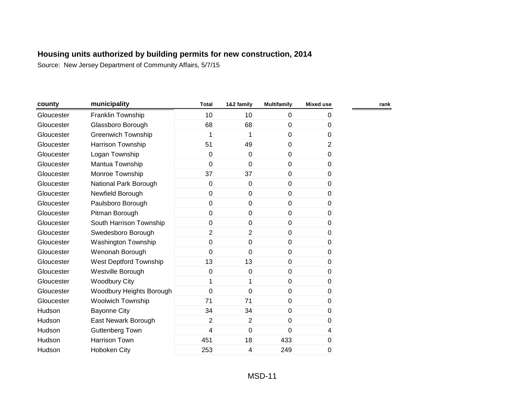| county     | municipality              | <b>Total</b>   | 1&2 family     | <b>Multifamily</b> | <b>Mixed use</b> | rank |
|------------|---------------------------|----------------|----------------|--------------------|------------------|------|
| Gloucester | Franklin Township         | 10             | 10             | $\overline{0}$     | 0                |      |
| Gloucester | Glassboro Borough         | 68             | 68             | $\overline{0}$     | 0                |      |
| Gloucester | <b>Greenwich Township</b> | 1              | 1              | $\overline{0}$     | 0                |      |
| Gloucester | <b>Harrison Township</b>  | 51             | 49             | $\overline{0}$     | $\overline{c}$   |      |
| Gloucester | Logan Township            | 0              | $\mathbf{0}$   | $\overline{0}$     | 0                |      |
| Gloucester | Mantua Township           | 0              | $\mathbf 0$    | $\overline{0}$     | 0                |      |
| Gloucester | Monroe Township           | 37             | 37             | $\overline{0}$     | 0                |      |
| Gloucester | National Park Borough     | 0              | 0              | $\overline{0}$     | 0                |      |
| Gloucester | Newfield Borough          | 0              | 0              | $\overline{0}$     | 0                |      |
| Gloucester | Paulsboro Borough         | 0              | 0              | $\overline{0}$     | 0                |      |
| Gloucester | Pitman Borough            | 0              | $\mathbf 0$    | $\overline{0}$     | 0                |      |
| Gloucester | South Harrison Township   | 0              | $\mathbf 0$    | $\overline{0}$     | 0                |      |
| Gloucester | Swedesboro Borough        | $\overline{2}$ | $\overline{2}$ | $\overline{0}$     | 0                |      |
| Gloucester | Washington Township       | 0              | 0              | $\overline{0}$     | 0                |      |
| Gloucester | Wenonah Borough           | 0              | $\mathbf 0$    | $\overline{0}$     | 0                |      |
| Gloucester | West Deptford Township    | 13             | 13             | $\overline{0}$     | 0                |      |
| Gloucester | Westville Borough         | 0              | 0              | $\overline{0}$     | 0                |      |
| Gloucester | <b>Woodbury City</b>      | 1              | 1              | $\overline{0}$     | 0                |      |
| Gloucester | Woodbury Heights Borough  | 0              | 0              | $\overline{0}$     | 0                |      |
| Gloucester | <b>Woolwich Township</b>  | 71             | 71             | $\overline{0}$     | 0                |      |
| Hudson     | <b>Bayonne City</b>       | 34             | 34             | $\overline{0}$     | 0                |      |
| Hudson     | East Newark Borough       | $\overline{2}$ | $\overline{2}$ | $\overline{0}$     | 0                |      |
| Hudson     | Guttenberg Town           | 4              | $\mathbf 0$    | 0                  | 4                |      |
| Hudson     | <b>Harrison Town</b>      | 451            | 18             | 433                | 0                |      |
| Hudson     | Hoboken City              | 253            | 4              | 249                | 0                |      |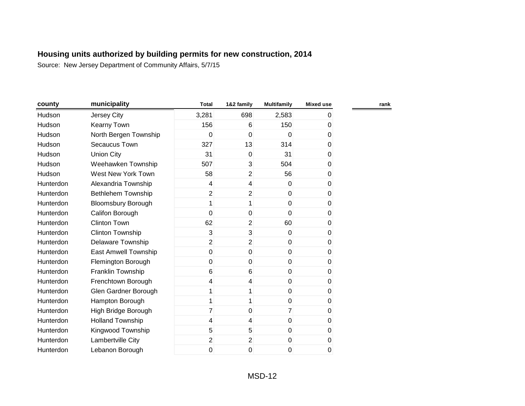| county    | municipality              | <b>Total</b>   | 1&2 family              | <b>Multifamily</b> | <b>Mixed use</b> | rank |
|-----------|---------------------------|----------------|-------------------------|--------------------|------------------|------|
| Hudson    | Jersey City               | 3,281          | 698                     | 2,583              | 0                |      |
| Hudson    | <b>Kearny Town</b>        | 156            | 6                       | 150                | 0                |      |
| Hudson    | North Bergen Township     | 0              | $\mathbf 0$             | $\mathbf 0$        | 0                |      |
| Hudson    | Secaucus Town             | 327            | 13                      | 314                | 0                |      |
| Hudson    | <b>Union City</b>         | 31             | 0                       | 31                 | 0                |      |
| Hudson    | Weehawken Township        | 507            | 3                       | 504                | $\pmb{0}$        |      |
| Hudson    | West New York Town        | 58             | $\overline{2}$          | 56                 | $\pmb{0}$        |      |
| Hunterdon | Alexandria Township       | 4              | $\overline{\mathbf{4}}$ | $\mathbf 0$        | 0                |      |
| Hunterdon | Bethlehem Township        | $\overline{c}$ | $\overline{2}$          | $\mathbf 0$        | 0                |      |
| Hunterdon | <b>Bloomsbury Borough</b> | 1              | 1                       | $\mathbf 0$        | 0                |      |
| Hunterdon | Califon Borough           | 0              | 0                       | $\Omega$           | 0                |      |
| Hunterdon | <b>Clinton Town</b>       | 62             | $\overline{2}$          | 60                 | 0                |      |
| Hunterdon | <b>Clinton Township</b>   | 3              | 3                       | $\mathbf 0$        | 0                |      |
| Hunterdon | Delaware Township         | $\overline{2}$ | $\overline{2}$          | $\mathbf 0$        | 0                |      |
| Hunterdon | East Amwell Township      | $\overline{0}$ | $\mathbf{0}$            | $\overline{0}$     | 0                |      |
| Hunterdon | Flemington Borough        | $\overline{0}$ | $\mathbf 0$             | $\mathbf 0$        | 0                |      |
| Hunterdon | Franklin Township         | 6              | 6                       | $\pmb{0}$          | $\pmb{0}$        |      |
| Hunterdon | Frenchtown Borough        | 4              | 4                       | $\mathbf 0$        | 0                |      |
| Hunterdon | Glen Gardner Borough      | 1              | 1                       | $\mathbf 0$        | 0                |      |
| Hunterdon | Hampton Borough           | 1              | 1                       | $\mathbf 0$        | 0                |      |
| Hunterdon | High Bridge Borough       | 7              | 0                       | $\overline{7}$     | 0                |      |
| Hunterdon | <b>Holland Township</b>   | 4              | $\overline{4}$          | $\mathbf 0$        | 0                |      |
| Hunterdon | Kingwood Township         | 5              | 5                       | $\mathbf 0$        | 0                |      |
| Hunterdon | Lambertville City         | $\overline{2}$ | $\overline{2}$          | $\pmb{0}$          | $\pmb{0}$        |      |
| Hunterdon | Lebanon Borough           | 0              | 0                       | 0                  | $\pmb{0}$        |      |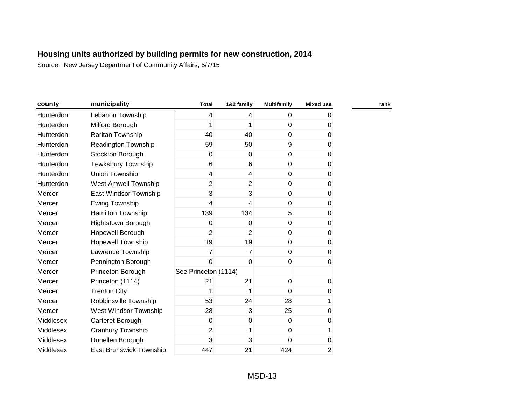| county    | municipality                | <b>Total</b>         | 1&2 family              | <b>Multifamily</b> | <b>Mixed use</b> | rank |
|-----------|-----------------------------|----------------------|-------------------------|--------------------|------------------|------|
| Hunterdon | Lebanon Township            | 4                    | 4                       | $\mathbf 0$        | 0                |      |
| Hunterdon | Milford Borough             | 1                    | 1                       | $\mathbf 0$        | 0                |      |
| Hunterdon | Raritan Township            | 40                   | 40                      | $\mathbf 0$        | 0                |      |
| Hunterdon | Readington Township         | 59                   | 50                      | 9                  | 0                |      |
| Hunterdon | Stockton Borough            | 0                    | $\overline{0}$          | $\pmb{0}$          | 0                |      |
| Hunterdon | <b>Tewksbury Township</b>   | 6                    | 6                       | $\mathbf 0$        | 0                |      |
| Hunterdon | Union Township              | $\overline{4}$       | $\overline{\mathbf{4}}$ | $\mathbf 0$        | 0                |      |
| Hunterdon | <b>West Amwell Township</b> | $\overline{2}$       | $\overline{c}$          | $\mathbf 0$        | 0                |      |
| Mercer    | East Windsor Township       | 3                    | 3                       | $\mathbf 0$        | 0                |      |
| Mercer    | Ewing Township              | 4                    | $\overline{4}$          | $\mathbf 0$        | 0                |      |
| Mercer    | Hamilton Township           | 139                  | 134                     | 5                  | 0                |      |
| Mercer    | <b>Hightstown Borough</b>   | 0                    | 0                       | $\mathbf 0$        | 0                |      |
| Mercer    | Hopewell Borough            | $\overline{2}$       | $\overline{2}$          | $\mathbf 0$        | 0                |      |
| Mercer    | Hopewell Township           | 19                   | 19                      | $\mathbf 0$        | 0                |      |
| Mercer    | Lawrence Township           | $\overline{7}$       | $\overline{7}$          | $\mathbf 0$        | 0                |      |
| Mercer    | Pennington Borough          | 0                    | $\mathbf 0$             | $\mathbf 0$        | 0                |      |
| Mercer    | Princeton Borough           | See Princeton (1114) |                         |                    |                  |      |
| Mercer    | Princeton (1114)            | 21                   | 21                      | $\pmb{0}$          | 0                |      |
| Mercer    | <b>Trenton City</b>         | 1                    | 1                       | $\mathbf{0}$       | 0                |      |
| Mercer    | Robbinsville Township       | 53                   | 24                      | 28                 | 1                |      |
| Mercer    | West Windsor Township       | 28                   | 3                       | 25                 | 0                |      |
| Middlesex | Carteret Borough            | 0                    | $\overline{0}$          | $\mathbf 0$        | 0                |      |
| Middlesex | Cranbury Township           | $\overline{2}$       | 1                       | $\mathbf 0$        | 1                |      |
| Middlesex | Dunellen Borough            | 3                    | 3                       | 0                  | 0                |      |
| Middlesex | East Brunswick Township     | 447                  | 21                      | 424                | $\overline{c}$   |      |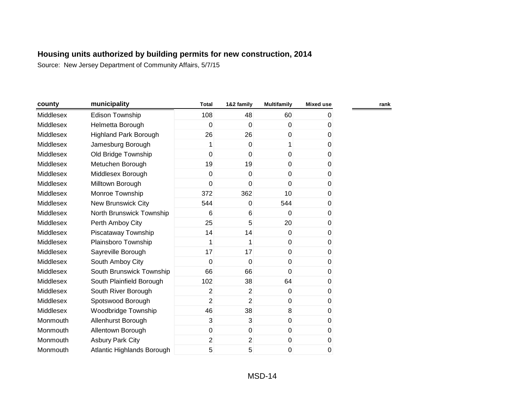| county    | municipality                 | <b>Total</b>   | 1&2 family     | <b>Multifamily</b> | <b>Mixed use</b> |  |
|-----------|------------------------------|----------------|----------------|--------------------|------------------|--|
| Middlesex | Edison Township              | 108            | 48             | 60                 | 0                |  |
| Middlesex | Helmetta Borough             | 0              | $\mathbf 0$    | $\mathbf 0$        | 0                |  |
| Middlesex | <b>Highland Park Borough</b> | 26             | 26             | $\mathbf 0$        | 0                |  |
| Middlesex | Jamesburg Borough            | 1              | $\mathbf 0$    | 1                  | 0                |  |
| Middlesex | Old Bridge Township          | $\mathbf 0$    | $\mathbf 0$    | $\mathbf 0$        | 0                |  |
| Middlesex | Metuchen Borough             | 19             | 19             | $\mathbf 0$        | 0                |  |
| Middlesex | Middlesex Borough            | $\overline{0}$ | $\Omega$       | $\mathbf 0$        | 0                |  |
| Middlesex | Milltown Borough             | $\mathbf 0$    | 0              | $\Omega$           | 0                |  |
| Middlesex | Monroe Township              | 372            | 362            | 10                 | 0                |  |
| Middlesex | <b>New Brunswick City</b>    | 544            | 0              | 544                | 0                |  |
| Middlesex | North Brunswick Township     | 6              | 6              | $\Omega$           | 0                |  |
| Middlesex | Perth Amboy City             | 25             | 5              | 20                 | 0                |  |
| Middlesex | Piscataway Township          | 14             | 14             | $\mathbf 0$        | 0                |  |
| Middlesex | Plainsboro Township          | 1              | 1              | $\mathbf 0$        | 0                |  |
| Middlesex | Sayreville Borough           | 17             | 17             | $\mathbf 0$        | 0                |  |
| Middlesex | South Amboy City             | $\mathbf 0$    | $\mathbf 0$    | $\mathbf 0$        | 0                |  |
| Middlesex | South Brunswick Township     | 66             | 66             | $\mathbf 0$        | $\pmb{0}$        |  |
| Middlesex | South Plainfield Borough     | 102            | 38             | 64                 | 0                |  |
| Middlesex | South River Borough          | $\overline{2}$ | 2              | $\mathbf 0$        | 0                |  |
| Middlesex | Spotswood Borough            | $\overline{2}$ | $\overline{2}$ | $\mathbf{0}$       | 0                |  |
| Middlesex | Woodbridge Township          | 46             | 38             | 8                  | 0                |  |
| Monmouth  | Allenhurst Borough           | 3              | 3              | $\mathbf 0$        | 0                |  |
| Monmouth  | Allentown Borough            | $\mathbf 0$    | 0              | $\mathbf 0$        | 0                |  |
| Monmouth  | <b>Asbury Park City</b>      | $\overline{2}$ | $\overline{2}$ | $\pmb{0}$          | 0                |  |
| Monmouth  | Atlantic Highlands Borough   | 5              | 5              | 0                  | 0                |  |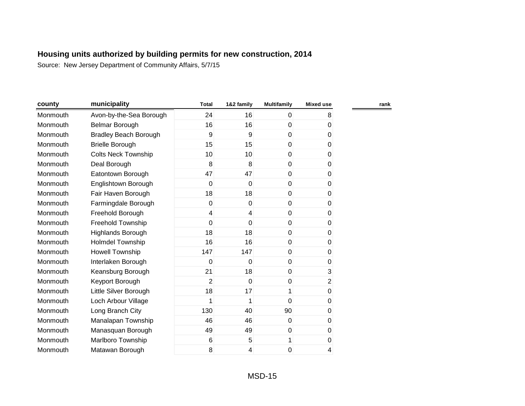| county   | municipality                 | <b>Total</b>   | 1&2 family  | <b>Multifamily</b> | <b>Mixed use</b> |
|----------|------------------------------|----------------|-------------|--------------------|------------------|
| Monmouth | Avon-by-the-Sea Borough      | 24             | 16          | $\mathbf 0$        | 8                |
| Monmouth | Belmar Borough               | 16             | 16          | 0                  | 0                |
| Monmouth | <b>Bradley Beach Borough</b> | 9              | 9           | $\mathbf 0$        | 0                |
| Monmouth | <b>Brielle Borough</b>       | 15             | 15          | $\mathbf{0}$       | 0                |
| Monmouth | <b>Colts Neck Township</b>   | 10             | 10          | 0                  | 0                |
| Monmouth | Deal Borough                 | 8              | 8           | 0                  | 0                |
| Monmouth | Eatontown Borough            | 47             | 47          | 0                  | 0                |
| Monmouth | Englishtown Borough          | 0              | 0           | 0                  | 0                |
| Monmouth | Fair Haven Borough           | 18             | 18          | 0                  | 0                |
| Monmouth | Farmingdale Borough          | 0              | 0           | 0                  | $\pmb{0}$        |
| Monmouth | Freehold Borough             | 4              | 4           | 0                  | 0                |
| Monmouth | Freehold Township            | 0              | $\Omega$    | $\mathbf{0}$       | 0                |
| Monmouth | <b>Highlands Borough</b>     | 18             | 18          | $\mathbf{0}$       | 0                |
| Monmouth | <b>Holmdel Township</b>      | 16             | 16          | 0                  | 0                |
| Monmouth | Howell Township              | 147            | 147         | 0                  | 0                |
| Monmouth | Interlaken Borough           | 0              | $\mathbf 0$ | $\mathbf 0$        | 0                |
| Monmouth | Keansburg Borough            | 21             | 18          | 0                  | 3                |
| Monmouth | Keyport Borough              | $\overline{2}$ | $\mathbf 0$ | 0                  | $\overline{c}$   |
| Monmouth | Little Silver Borough        | 18             | 17          | 1                  | $\pmb{0}$        |
| Monmouth | Loch Arbour Village          | 1              | 1           | 0                  | 0                |
| Monmouth | Long Branch City             | 130            | 40          | 90                 | 0                |
| Monmouth | Manalapan Township           | 46             | 46          | $\mathbf 0$        | 0                |
| Monmouth | Manasquan Borough            | 49             | 49          | 0                  | 0                |
| Monmouth | Marlboro Township            | 6              | 5           | 1                  | $\,0\,$          |
| Monmouth | Matawan Borough              | 8              | 4           | 0                  | 4                |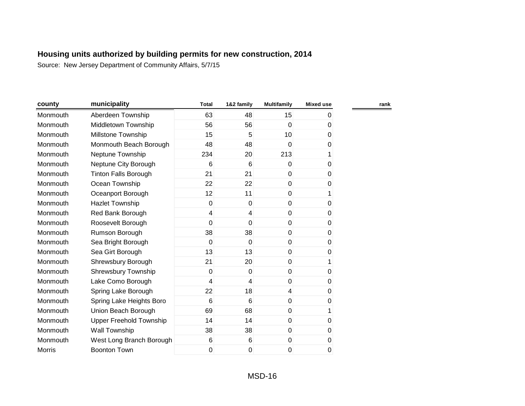| county        | municipality                | <b>Total</b> | 1&2 family              | <b>Multifamily</b> | <b>Mixed use</b> | rank |
|---------------|-----------------------------|--------------|-------------------------|--------------------|------------------|------|
| Monmouth      | Aberdeen Township           | 63           | 48                      | 15                 | 0                |      |
| Monmouth      | Middletown Township         | 56           | 56                      | $\mathbf 0$        | 0                |      |
| Monmouth      | <b>Millstone Township</b>   | 15           | 5                       | 10                 | 0                |      |
| Monmouth      | Monmouth Beach Borough      | 48           | 48                      | 0                  | 0                |      |
| Monmouth      | Neptune Township            | 234          | 20                      | 213                | 1                |      |
| Monmouth      | Neptune City Borough        | 6            | 6                       | $\mathbf 0$        | 0                |      |
| Monmouth      | <b>Tinton Falls Borough</b> | 21           | 21                      | $\pmb{0}$          | 0                |      |
| Monmouth      | Ocean Township              | 22           | 22                      | $\pmb{0}$          | 0                |      |
| Monmouth      | Oceanport Borough           | 12           | 11                      | $\mathbf 0$        | 1                |      |
| Monmouth      | <b>Hazlet Township</b>      | 0            | $\mathbf 0$             | $\mathbf 0$        | 0                |      |
| Monmouth      | Red Bank Borough            | 4            | $\overline{\mathbf{4}}$ | $\mathbf 0$        | 0                |      |
| Monmouth      | Roosevelt Borough           | 0            | $\mathbf 0$             | $\mathbf 0$        | 0                |      |
| Monmouth      | Rumson Borough              | 38           | 38                      | $\mathbf 0$        | 0                |      |
| Monmouth      | Sea Bright Borough          | 0            | $\mathbf 0$             | $\mathbf 0$        | 0                |      |
| Monmouth      | Sea Girt Borough            | 13           | 13                      | $\mathbf 0$        | 0                |      |
| Monmouth      | Shrewsbury Borough          | 21           | 20                      | $\mathbf 0$        | 1                |      |
| Monmouth      | <b>Shrewsbury Township</b>  | 0            | $\mathbf 0$             | $\mathbf 0$        | $\boldsymbol{0}$ |      |
| Monmouth      | Lake Como Borough           | 4            | $\overline{\mathbf{4}}$ | $\pmb{0}$          | 0                |      |
| Monmouth      | Spring Lake Borough         | 22           | 18                      | $\overline{4}$     | 0                |      |
| Monmouth      | Spring Lake Heights Boro    | 6            | 6                       | $\mathbf 0$        | 0                |      |
| Monmouth      | Union Beach Borough         | 69           | 68                      | $\mathbf 0$        | 1                |      |
| Monmouth      | Upper Freehold Township     | 14           | 14                      | $\mathbf 0$        | 0                |      |
| Monmouth      | Wall Township               | 38           | 38                      | $\mathbf 0$        | 0                |      |
| Monmouth      | West Long Branch Borough    | 6            | 6                       | $\pmb{0}$          | 0                |      |
| <b>Morris</b> | <b>Boonton Town</b>         | 0            | 0                       | 0                  | 0                |      |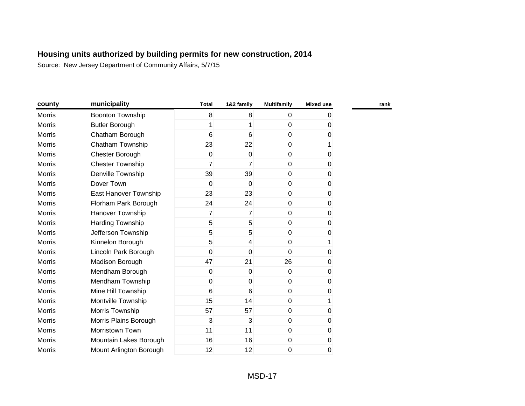| county        | municipality            | <b>Total</b>   | 1&2 family     | <b>Multifamily</b> | <b>Mixed use</b> |
|---------------|-------------------------|----------------|----------------|--------------------|------------------|
| <b>Morris</b> | <b>Boonton Township</b> | 8              | 8              | 0                  | 0                |
| <b>Morris</b> | <b>Butler Borough</b>   | 1              |                | 0                  | 0                |
| <b>Morris</b> | Chatham Borough         | 6              | 6              | 0                  | 0                |
| Morris        | Chatham Township        | 23             | 22             | 0                  | 1                |
| <b>Morris</b> | Chester Borough         | 0              | $\mathbf 0$    | 0                  | 0                |
| <b>Morris</b> | <b>Chester Township</b> | $\overline{7}$ | 7              | 0                  | 0                |
| <b>Morris</b> | Denville Township       | 39             | 39             | 0                  | 0                |
| <b>Morris</b> | Dover Town              | 0              | 0              | $\pmb{0}$          | 0                |
| <b>Morris</b> | East Hanover Township   | 23             | 23             | 0                  | 0                |
| <b>Morris</b> | Florham Park Borough    | 24             | 24             | 0                  | 0                |
| <b>Morris</b> | Hanover Township        | 7              | $\overline{7}$ | $\Omega$           | 0                |
| <b>Morris</b> | Harding Township        | 5              | $\overline{5}$ | $\mathbf 0$        | 0                |
| <b>Morris</b> | Jefferson Township      | 5              | 5              | $\Omega$           | 0                |
| Morris        | Kinnelon Borough        | 5              | 4              | $\Omega$           | 1                |
| <b>Morris</b> | Lincoln Park Borough    | 0              | $\mathbf 0$    | $\Omega$           | 0                |
| <b>Morris</b> | Madison Borough         | 47             | 21             | 26                 | 0                |
| <b>Morris</b> | Mendham Borough         | 0              | 0              | 0                  | 0                |
| <b>Morris</b> | Mendham Township        | 0              | 0              | 0                  | 0                |
| <b>Morris</b> | Mine Hill Township      | 6              | 6              | 0                  | 0                |
| <b>Morris</b> | Montville Township      | 15             | 14             | $\mathbf 0$        | 1                |
| <b>Morris</b> | Morris Township         | 57             | 57             | $\mathbf 0$        | 0                |
| Morris        | Morris Plains Borough   | 3              | 3              | 0                  | 0                |
| Morris        | Morristown Town         | 11             | 11             | 0                  | 0                |
| Morris        | Mountain Lakes Borough  | 16             | 16             | 0                  | 0                |
| <b>Morris</b> | Mount Arlington Borough | 12             | 12             | 0                  | 0                |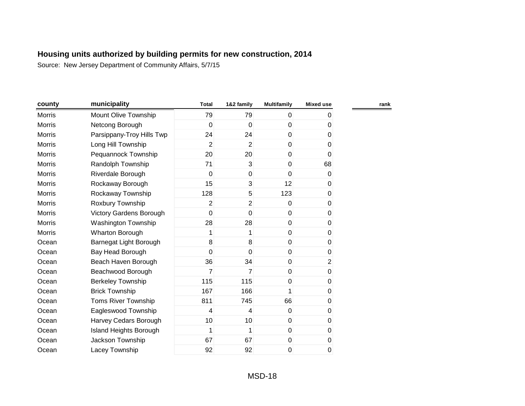| county        | municipality                   | <b>Total</b>   | 1&2 family       | <b>Multifamily</b> | <b>Mixed use</b> | rank |
|---------------|--------------------------------|----------------|------------------|--------------------|------------------|------|
| Morris        | Mount Olive Township           | 79             | 79               | $\mathbf 0$        | 0                |      |
| <b>Morris</b> | Netcong Borough                | 0              | $\mathbf 0$      | $\mathbf 0$        | 0                |      |
| <b>Morris</b> | Parsippany-Troy Hills Twp      | 24             | 24               | $\pmb{0}$          | 0                |      |
| <b>Morris</b> | Long Hill Township             | $\overline{2}$ | $\overline{2}$   | $\mathbf 0$        | 0                |      |
| Morris        | Pequannock Township            | 20             | 20               | $\pmb{0}$          | 0                |      |
| Morris        | Randolph Township              | 71             | 3                | $\mathbf 0$        | 68               |      |
| Morris        | Riverdale Borough              | 0              | $\boldsymbol{0}$ | $\mathbf 0$        | 0                |      |
| Morris        | Rockaway Borough               | 15             | $\overline{3}$   | 12                 | 0                |      |
| <b>Morris</b> | Rockaway Township              | 128            | 5 <sup>1</sup>   | 123                | 0                |      |
| Morris        | Roxbury Township               | $\overline{2}$ | $\overline{2}$   | $\mathbf 0$        | 0                |      |
| Morris        | <b>Victory Gardens Borough</b> | 0              | 0                | $\mathbf 0$        | 0                |      |
| <b>Morris</b> | <b>Washington Township</b>     | 28             | 28               | $\pmb{0}$          | 0                |      |
| <b>Morris</b> | <b>Wharton Borough</b>         | 1              | 1                | $\mathbf 0$        | 0                |      |
| Ocean         | Barnegat Light Borough         | 8              | 8                | $\pmb{0}$          | 0                |      |
| Ocean         | Bay Head Borough               | 0              | $\overline{0}$   | $\pmb{0}$          | 0                |      |
| Ocean         | Beach Haven Borough            | 36             | 34               | $\pmb{0}$          | $\overline{2}$   |      |
| Ocean         | Beachwood Borough              | 7              | $\overline{7}$   | $\pmb{0}$          | $\pmb{0}$        |      |
| Ocean         | <b>Berkeley Township</b>       | 115            | 115              | $\pmb{0}$          | 0                |      |
| Ocean         | <b>Brick Township</b>          | 167            | 166              | 1                  | 0                |      |
| Ocean         | Toms River Township            | 811            | 745              | 66                 | 0                |      |
| Ocean         | Eagleswood Township            | 4              | 4                | $\mathbf 0$        | 0                |      |
| Ocean         | Harvey Cedars Borough          | 10             | 10 <sup>1</sup>  | $\mathbf 0$        | 0                |      |
| Ocean         | <b>Island Heights Borough</b>  | 1              | 1                | $\mathbf 0$        | 0                |      |
| Ocean         | Jackson Township               | 67             | 67               | $\pmb{0}$          | 0                |      |
| Ocean         | Lacey Township                 | 92             | 92               | 0                  | 0                |      |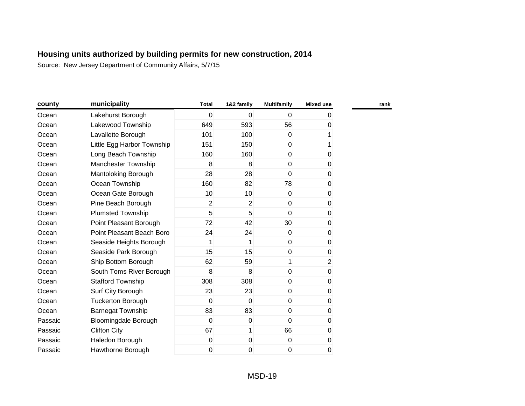| county  | municipality                | <b>Total</b>   | 1&2 family       | <b>Multifamily</b> | <b>Mixed use</b> |  |
|---------|-----------------------------|----------------|------------------|--------------------|------------------|--|
| Ocean   | Lakehurst Borough           | 0              | $\mathbf 0$      | $\Omega$           | 0                |  |
| Ocean   | Lakewood Township           | 649            | 593              | 56                 | 0                |  |
| Ocean   | Lavallette Borough          | 101            | 100              | $\mathbf{0}$       |                  |  |
| Ocean   | Little Egg Harbor Township  | 151            | 150              | $\mathbf{0}$       | 1                |  |
| Ocean   | Long Beach Township         | 160            | 160              | $\overline{0}$     | 0                |  |
| Ocean   | Manchester Township         | 8              | 8                | 0                  | 0                |  |
| Ocean   | Mantoloking Borough         | 28             | 28               | $\Omega$           | 0                |  |
| Ocean   | Ocean Township              | 160            | 82               | 78                 | 0                |  |
| Ocean   | Ocean Gate Borough          | 10             | 10               | $\Omega$           | 0                |  |
| Ocean   | Pine Beach Borough          | $\overline{2}$ | $\overline{2}$   | $\mathbf{0}$       | 0                |  |
| Ocean   | <b>Plumsted Township</b>    | 5              | 5                | $\Omega$           | 0                |  |
| Ocean   | Point Pleasant Borough      | 72             | 42               | 30                 | $\pmb{0}$        |  |
| Ocean   | Point Pleasant Beach Boro   | 24             | 24               | $\mathbf{0}$       | 0                |  |
| Ocean   | Seaside Heights Borough     | 1              | 1                | $\mathbf 0$        | 0                |  |
| Ocean   | Seaside Park Borough        | 15             | 15               | $\mathbf 0$        | 0                |  |
| Ocean   | Ship Bottom Borough         | 62             | 59               | 1                  | $\overline{2}$   |  |
| Ocean   | South Toms River Borough    | 8              | 8                | $\pmb{0}$          | 0                |  |
| Ocean   | <b>Stafford Township</b>    | 308            | 308              | $\mathbf 0$        | 0                |  |
| Ocean   | Surf City Borough           | 23             | 23               | $\mathbf 0$        | 0                |  |
| Ocean   | <b>Tuckerton Borough</b>    | $\mathbf 0$    | $\mathbf 0$      | $\mathbf{0}$       | $\pmb{0}$        |  |
| Ocean   | <b>Barnegat Township</b>    | 83             | 83               | $\mathbf 0$        | 0                |  |
| Passaic | <b>Bloomingdale Borough</b> | 0              | $\boldsymbol{0}$ | $\Omega$           | $\pmb{0}$        |  |
| Passaic | <b>Clifton City</b>         | 67             | 1                | 66                 | 0                |  |
| Passaic | Haledon Borough             | 0              | $\mathbf 0$      | $\mathbf 0$        | 0                |  |
| Passaic | Hawthorne Borough           | 0              | 0                | 0                  | 0                |  |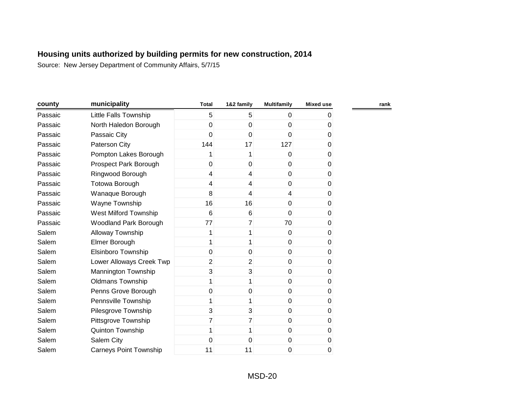| county  | municipality                  | <b>Total</b>   | 1&2 family     | <b>Multifamily</b> | <b>Mixed use</b> |  |
|---------|-------------------------------|----------------|----------------|--------------------|------------------|--|
| Passaic | Little Falls Township         | 5              | 5              | $\mathbf{0}$       | 0                |  |
| Passaic | North Haledon Borough         | 0              | $\mathbf 0$    | 0                  | $\overline{0}$   |  |
| Passaic | Passaic City                  | 0              | $\mathbf 0$    | $\mathbf{0}$       | 0                |  |
| Passaic | Paterson City                 | 144            | 17             | 127                | 0                |  |
| Passaic | Pompton Lakes Borough         | 1              | 1              | $\mathbf{0}$       | 0                |  |
| Passaic | Prospect Park Borough         | $\mathbf 0$    | $\mathbf 0$    | $\overline{0}$     | 0                |  |
| Passaic | Ringwood Borough              | $\overline{4}$ | $\overline{4}$ | $\overline{0}$     | 0                |  |
| Passaic | Totowa Borough                | 4              | $\overline{4}$ | 0                  | 0                |  |
| Passaic | Wanaque Borough               | 8              | 4              | 4                  | 0                |  |
| Passaic | Wayne Township                | 16             | 16             | 0                  | 0                |  |
| Passaic | West Milford Township         | 6              | 6              | $\Omega$           | $\overline{0}$   |  |
| Passaic | <b>Woodland Park Borough</b>  | 77             | $\overline{7}$ | 70                 | $\overline{0}$   |  |
| Salem   | Alloway Township              | 1              | 1              | $\mathbf{0}$       | 0                |  |
| Salem   | Elmer Borough                 | 1              | 1              | $\mathbf{0}$       | 0                |  |
| Salem   | <b>Elsinboro Township</b>     | $\mathbf{0}$   | 0              | $\overline{0}$     | 0                |  |
| Salem   | Lower Alloways Creek Twp      | $\overline{2}$ | $\overline{2}$ | $\overline{0}$     | 0                |  |
| Salem   | Mannington Township           | 3              | 3              | $\overline{0}$     | 0                |  |
| Salem   | <b>Oldmans Township</b>       | 1              | 1              | $\mathbf 0$        | $\overline{0}$   |  |
| Salem   | Penns Grove Borough           | $\mathbf 0$    | 0              | 0                  | $\overline{0}$   |  |
| Salem   | Pennsville Township           | 1              | 1              | $\mathbf 0$        | 0                |  |
| Salem   | Pilesgrove Township           | 3              | 3              | $\mathbf 0$        | 0                |  |
| Salem   | Pittsgrove Township           | $\overline{7}$ | $\overline{7}$ | $\mathbf 0$        | 0                |  |
| Salem   | Quinton Township              | 1              |                | $\mathbf 0$        | 0                |  |
| Salem   | Salem City                    | 0              | $\mathbf 0$    | $\mathbf 0$        | 0                |  |
| Salem   | <b>Carneys Point Township</b> | 11             | 11             | 0                  | 0                |  |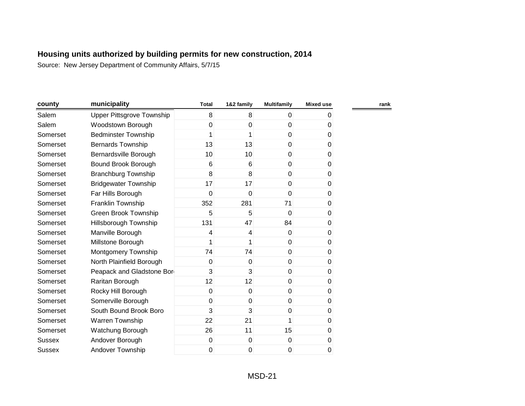| county        | municipality                     | <b>Total</b> | 1&2 family      | <b>Multifamily</b> | <b>Mixed use</b> | rank |
|---------------|----------------------------------|--------------|-----------------|--------------------|------------------|------|
| Salem         | <b>Upper Pittsgrove Township</b> | 8            | 8               | $\overline{0}$     | 0                |      |
| Salem         | Woodstown Borough                | 0            | 0               | 0                  | 0                |      |
| Somerset      | <b>Bedminster Township</b>       | 1            | 1               | $\overline{0}$     | 0                |      |
| Somerset      | <b>Bernards Township</b>         | 13           | 13              | $\overline{0}$     | 0                |      |
| Somerset      | Bernardsville Borough            | 10           | 10 <sup>1</sup> | $\overline{0}$     | 0                |      |
| Somerset      | Bound Brook Borough              | 6            | 6               | $\overline{0}$     | 0                |      |
| Somerset      | <b>Branchburg Township</b>       | 8            | 8               | $\overline{0}$     | 0                |      |
| Somerset      | <b>Bridgewater Township</b>      | 17           | 17              | $\overline{0}$     | 0                |      |
| Somerset      | Far Hills Borough                | 0            | $\mathbf 0$     | 0                  | 0                |      |
| Somerset      | Franklin Township                | 352          | 281             | 71                 | 0                |      |
| Somerset      | <b>Green Brook Township</b>      | 5            | 5               | $\overline{0}$     | 0                |      |
| Somerset      | Hillsborough Township            | 131          | 47              | 84                 | 0                |      |
| Somerset      | Manville Borough                 | 4            | 4               | $\overline{0}$     | $\pmb{0}$        |      |
| Somerset      | Millstone Borough                | 1            | 1               | $\overline{0}$     | 0                |      |
| Somerset      | Montgomery Township              | 74           | 74              | $\overline{0}$     | $\pmb{0}$        |      |
| Somerset      | North Plainfield Borough         | 0            | $\Omega$        | $\overline{0}$     | 0                |      |
| Somerset      | Peapack and Gladstone Bor        | 3            | $\overline{3}$  | $\overline{0}$     | 0                |      |
| Somerset      | Raritan Borough                  | 12           | 12              | $\overline{0}$     | 0                |      |
| Somerset      | Rocky Hill Borough               | 0            | 0               | $\overline{0}$     | 0                |      |
| Somerset      | Somerville Borough               | 0            | $\mathbf 0$     | $\overline{0}$     | 0                |      |
| Somerset      | South Bound Brook Boro           | 3            | 3               | $\overline{0}$     | 0                |      |
| Somerset      | <b>Warren Township</b>           | 22           | 21              | 1                  | 0                |      |
| Somerset      | Watchung Borough                 | 26           | 11              | 15                 | 0                |      |
| <b>Sussex</b> | Andover Borough                  | 0            | $\mathbf 0$     | $\boldsymbol{0}$   | $\pmb{0}$        |      |
| Sussex        | Andover Township                 | 0            | 0               | 0                  | 0                |      |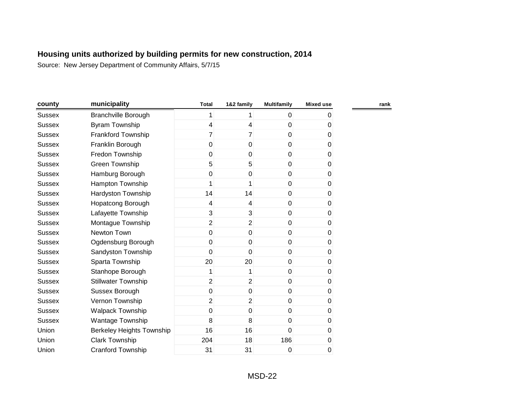| county        | municipality                     | <b>Total</b>   | 1&2 family       | <b>Multifamily</b> | <b>Mixed use</b> | rank |
|---------------|----------------------------------|----------------|------------------|--------------------|------------------|------|
| <b>Sussex</b> | <b>Branchville Borough</b>       | 1              | 1                | $\overline{0}$     | 0                |      |
| <b>Sussex</b> | <b>Byram Township</b>            | 4              | 4                | $\overline{0}$     | 0                |      |
| <b>Sussex</b> | Frankford Township               | 7              | $\overline{7}$   | $\overline{0}$     | 0                |      |
| <b>Sussex</b> | Franklin Borough                 | 0              | $\mathbf 0$      | $\overline{0}$     | 0                |      |
| <b>Sussex</b> | Fredon Township                  | 0              | $\mathbf 0$      | $\overline{0}$     | 0                |      |
| <b>Sussex</b> | Green Township                   | 5              | 5                | $\overline{0}$     | 0                |      |
| <b>Sussex</b> | Hamburg Borough                  | 0              | 0                | $\overline{0}$     | 0                |      |
| Sussex        | Hampton Township                 | 1              | 1                | $\overline{0}$     | 0                |      |
| Sussex        | Hardyston Township               | 14             | 14               | $\overline{0}$     | 0                |      |
| <b>Sussex</b> | Hopatcong Borough                | 4              | 4                | $\overline{0}$     | 0                |      |
| <b>Sussex</b> | Lafayette Township               | 3              | 3                | $\overline{0}$     | 0                |      |
| <b>Sussex</b> | Montague Township                | $\overline{2}$ | $\overline{2}$   | $\overline{0}$     | 0                |      |
| <b>Sussex</b> | Newton Town                      | 0              | $\mathbf 0$      | $\overline{0}$     | 0                |      |
| <b>Sussex</b> | Ogdensburg Borough               | 0              | $\mathbf 0$      | $\overline{0}$     | 0                |      |
| <b>Sussex</b> | Sandyston Township               | 0              | $\mathbf 0$      | $\overline{0}$     | 0                |      |
| <b>Sussex</b> | Sparta Township                  | 20             | 20               | 0                  | 0                |      |
| <b>Sussex</b> | Stanhope Borough                 | 1              | 1                | $\overline{0}$     | $\pmb{0}$        |      |
| <b>Sussex</b> | <b>Stillwater Township</b>       | $\overline{2}$ | $\overline{2}$   | $\boldsymbol{0}$   | 0                |      |
| <b>Sussex</b> | Sussex Borough                   | 0              | 0                | $\overline{0}$     | 0                |      |
| <b>Sussex</b> | Vernon Township                  | $\overline{2}$ | $\overline{2}$   | $\overline{0}$     | 0                |      |
| <b>Sussex</b> | Walpack Township                 | 0              | $\boldsymbol{0}$ | $\overline{0}$     | 0                |      |
| <b>Sussex</b> | Wantage Township                 | 8              | 8                | $\overline{0}$     | 0                |      |
| Union         | <b>Berkeley Heights Township</b> | 16             | 16               | 0                  | 0                |      |
| Union         | Clark Township                   | 204            | 18               | 186                | 0                |      |
| Union         | <b>Cranford Township</b>         | 31             | 31               | 0                  | 0                |      |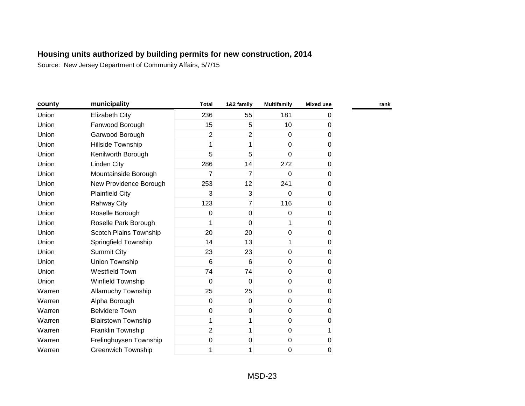| county | municipality               | <b>Total</b>   | 1&2 family     | <b>Multifamily</b> | <b>Mixed use</b> | rank |
|--------|----------------------------|----------------|----------------|--------------------|------------------|------|
| Union  | <b>Elizabeth City</b>      | 236            | 55             | 181                | 0                |      |
| Union  | Fanwood Borough            | 15             | 5              | 10 <sup>1</sup>    | 0                |      |
| Union  | Garwood Borough            | $\overline{2}$ | $\overline{2}$ | $\overline{0}$     | 0                |      |
| Union  | Hillside Township          | 1              | 1              | $\overline{0}$     | 0                |      |
| Union  | Kenilworth Borough         | 5              | 5              | $\Omega$           | 0                |      |
| Union  | <b>Linden City</b>         | 286            | 14             | 272                | 0                |      |
| Union  | Mountainside Borough       | $\overline{7}$ | $\overline{7}$ | $\overline{0}$     | 0                |      |
| Union  | New Providence Borough     | 253            | 12             | 241                | $\pmb{0}$        |      |
| Union  | <b>Plainfield City</b>     | 3              | $\mathbf{3}$   | $\Omega$           | 0                |      |
| Union  | <b>Rahway City</b>         | 123            | $\overline{7}$ | 116                | 0                |      |
| Union  | Roselle Borough            | 0              | $\mathbf 0$    | $\Omega$           | 0                |      |
| Union  | Roselle Park Borough       |                | $\mathbf 0$    |                    | 0                |      |
| Union  | Scotch Plains Township     | 20             | 20             | 0                  | 0                |      |
| Union  | Springfield Township       | 14             | 13             |                    | 0                |      |
| Union  | <b>Summit City</b>         | 23             | 23             | $\overline{0}$     | 0                |      |
| Union  | Union Township             | 6              | $6\phantom{1}$ | $\overline{0}$     | 0                |      |
| Union  | Westfield Town             | 74             | 74             | $\overline{0}$     | $\pmb{0}$        |      |
| Union  | Winfield Township          | 0              | 0              | $\boldsymbol{0}$   | 0                |      |
| Warren | <b>Allamuchy Township</b>  | 25             | 25             | $\boldsymbol{0}$   | $\pmb{0}$        |      |
| Warren | Alpha Borough              | 0              | 0              | $\overline{0}$     | 0                |      |
| Warren | <b>Belvidere Town</b>      | $\pmb{0}$      | $\pmb{0}$      | $\overline{0}$     | 0                |      |
| Warren | <b>Blairstown Township</b> | 1              | 1              | $\overline{0}$     | 0                |      |
| Warren | Franklin Township          | $\overline{2}$ | 1              | $\overline{0}$     | 1                |      |
| Warren | Frelinghuysen Township     | 0              | 0              | $\mathbf 0$        | 0                |      |
| Warren | <b>Greenwich Township</b>  | 1              | 1              | 0                  | 0                |      |